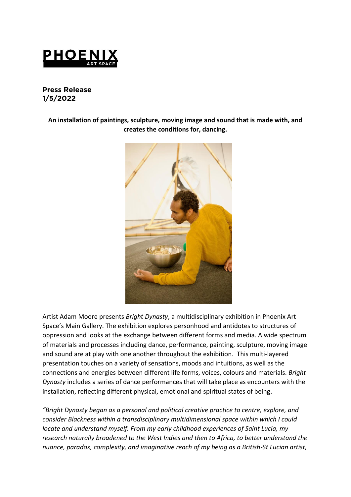

# **Press Release 1/5/2022**

**An installation of paintings, sculpture, moving image and sound that is made with, and creates the conditions for, dancing.**



Artist Adam Moore presents *Bright Dynasty*, a multidisciplinary exhibition in Phoenix Art Space's Main Gallery. The exhibition explores personhood and antidotes to structures of oppression and looks at the exchange between different forms and media. A wide spectrum of materials and processes including dance, performance, painting, sculpture, moving image and sound are at play with one another throughout the exhibition. This multi-layered presentation touches on a variety of sensations, moods and intuitions, as well as the connections and energies between different life forms, voices, colours and materials. *Bright Dynasty* includes a series of dance performances that will take place as encounters with the installation, reflecting different physical, emotional and spiritual states of being.

*"Bright Dynasty began as a personal and political creative practice to centre, explore, and consider Blackness within a transdisciplinary multidimensional space within which I could locate and understand myself. From my early childhood experiences of Saint Lucia, my research naturally broadened to the West Indies and then to Africa, to better understand the nuance, paradox, complexity, and imaginative reach of my being as a British-St Lucian artist,*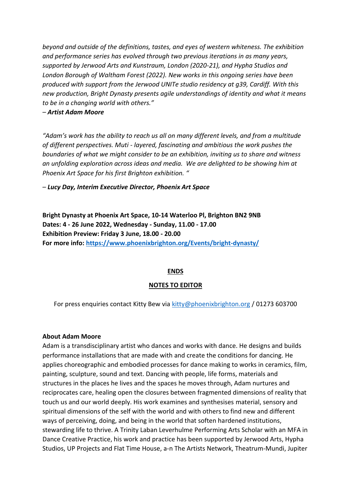*beyond and outside of the definitions, tastes, and eyes of western whiteness. The exhibition and performance series has evolved through two previous iterations in as many years, supported by Jerwood Arts and Kunstraum, London (2020-21), and Hypha Studios and London Borough of Waltham Forest (2022). New works in this ongoing series have been produced with support from the Jerwood UNITe studio residency at g39, Cardiff. With this new production, Bright Dynasty presents agile understandings of identity and what it means to be in a changing world with others."* 

### *– Artist Adam Moore*

*"Adam's work has the ability to reach us all on many different levels, and from a multitude of different perspectives. Muti - layered, fascinating and ambitious the work pushes the boundaries of what we might consider to be an exhibition, inviting us to share and witness an unfolding exploration across ideas and media. We are delighted to be showing him at Phoenix Art Space for his first Brighton exhibition. "* 

*– Lucy Day, Interim Executive Director, Phoenix Art Space* 

**Bright Dynasty at Phoenix Art Space, 10-14 Waterloo Pl, Brighton BN2 9NB Dates: 4 - 26 June 2022, Wednesday - Sunday, 11.00 - 17.00 Exhibition Preview: Friday 3 June, 18.00 - 20.00 For more info:<https://www.phoenixbrighton.org/Events/bright-dynasty/>**

# **ENDS**

# **NOTES TO EDITOR**

For press enquiries contact Kitty Bew via [kitty@phoenixbrighton.org](mailto:kitty@phoenixbrighton.org) / 01273 603700

# **About Adam Moore**

Adam is a transdisciplinary artist who dances and works with dance. He designs and builds performance installations that are made with and create the conditions for dancing. He applies choreographic and embodied processes for dance making to works in ceramics, film, painting, sculpture, sound and text. Dancing with people, life forms, materials and structures in the places he lives and the spaces he moves through, Adam nurtures and reciprocates care, healing open the closures between fragmented dimensions of reality that touch us and our world deeply. His work examines and synthesises material, sensory and spiritual dimensions of the self with the world and with others to find new and different ways of perceiving, doing, and being in the world that soften hardened institutions, stewarding life to thrive. A Trinity Laban Leverhulme Performing Arts Scholar with an MFA in Dance Creative Practice, his work and practice has been supported by Jerwood Arts, Hypha Studios, UP Projects and Flat Time House, a-n The Artists Network, Theatrum-Mundi, Jupiter